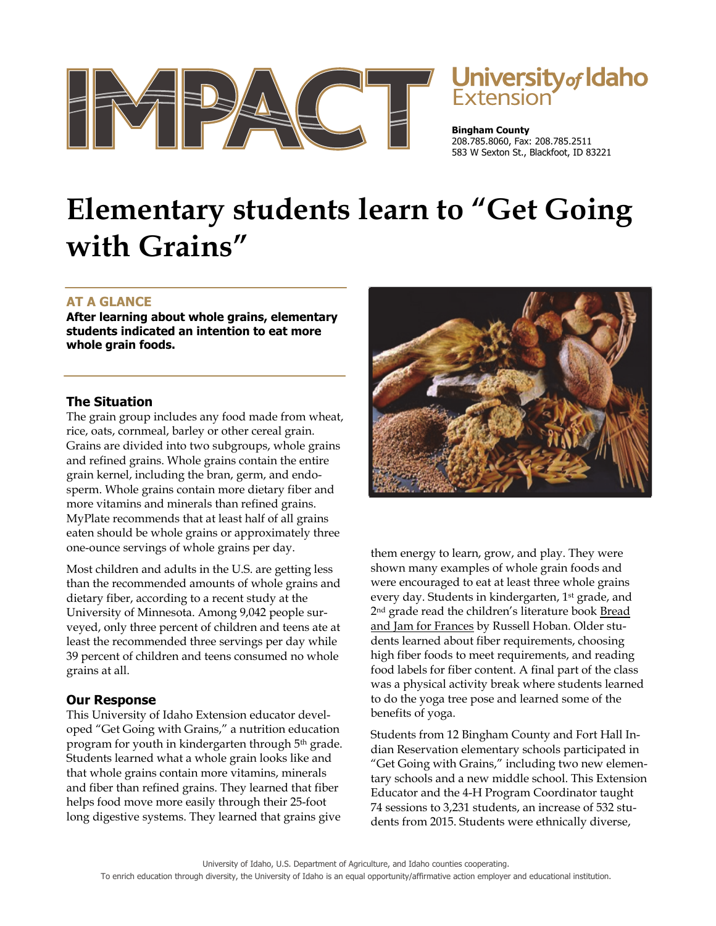

# University of Idaho

**Bingham County**  208.785.8060, Fax: 208.785.2511 583 W Sexton St., Blackfoot, ID 83221

# **Elementary students learn to "Get Going with Grains"**

## **AT A GLANCE**

**After learning about whole grains, elementary students indicated an intention to eat more whole grain foods.** 

#### **The Situation**

The grain group includes any food made from wheat, rice, oats, cornmeal, barley or other cereal grain. Grains are divided into two subgroups, whole grains and refined grains. Whole grains contain the entire grain kernel, including the bran, germ, and endosperm. Whole grains contain more dietary fiber and more vitamins and minerals than refined grains. MyPlate recommends that at least half of all grains eaten should be whole grains or approximately three one-ounce servings of whole grains per day.

Most children and adults in the U.S. are getting less than the recommended amounts of whole grains and dietary fiber, according to a recent study at the University of Minnesota. Among 9,042 people surveyed, only three percent of children and teens ate at least the recommended three servings per day while 39 percent of children and teens consumed no whole grains at all.

#### **Our Response**

This University of Idaho Extension educator developed "Get Going with Grains," a nutrition education program for youth in kindergarten through 5<sup>th</sup> grade. Students learned what a whole grain looks like and that whole grains contain more vitamins, minerals and fiber than refined grains. They learned that fiber helps food move more easily through their 25-foot long digestive systems. They learned that grains give



them energy to learn, grow, and play. They were shown many examples of whole grain foods and were encouraged to eat at least three whole grains every day. Students in kindergarten, 1<sup>st</sup> grade, and 2<sup>nd</sup> grade read the children's literature book **Bread** and Jam for Frances by Russell Hoban. Older students learned about fiber requirements, choosing high fiber foods to meet requirements, and reading food labels for fiber content. A final part of the class was a physical activity break where students learned to do the yoga tree pose and learned some of the benefits of yoga.

Students from 12 Bingham County and Fort Hall Indian Reservation elementary schools participated in "Get Going with Grains," including two new elementary schools and a new middle school. This Extension Educator and the 4-H Program Coordinator taught 74 sessions to 3,231 students, an increase of 532 students from 2015. Students were ethnically diverse,